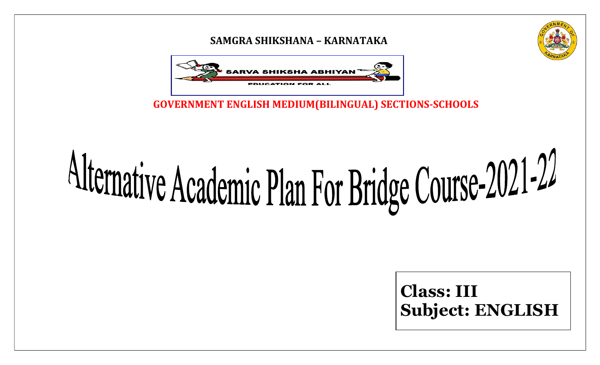### SAMGRA SHIKSHANA – KARNATAKA



GOVERNMENT ENGLISH MEDIUM(BILINGUAL) SECTIONS-SCHOOLS

# Alternative Academic Plan For Bridge Course-2021-22

Class: III Subject: ENGLISH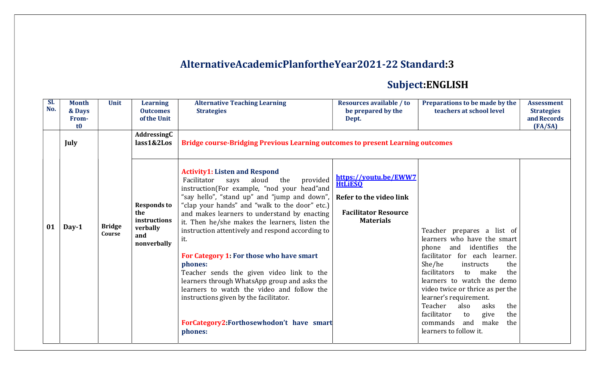## AlternativeAcademicPlanfortheYear2021-22 Standard:3

# Subject:ENGLISH

| SI.<br>No. | <b>Month</b><br>& Days<br>From-<br>t0 | <b>Unit</b>             | <b>Learning</b><br><b>Outcomes</b><br>of the Unit                           | <b>Alternative Teaching Learning</b><br><b>Strategies</b>                                                                                                                                                                                                                                                                                                                                                                                                                                                                                                                                                                                                                                                | <b>Resources available / to</b><br>be prepared by the<br>Dept.                                                        | Preparations to be made by the<br>teachers at school level                                                                                                                                                                                                                                                                                                                                                           | <b>Assessment</b><br><b>Strategies</b><br>and Records<br>FA/SA |
|------------|---------------------------------------|-------------------------|-----------------------------------------------------------------------------|----------------------------------------------------------------------------------------------------------------------------------------------------------------------------------------------------------------------------------------------------------------------------------------------------------------------------------------------------------------------------------------------------------------------------------------------------------------------------------------------------------------------------------------------------------------------------------------------------------------------------------------------------------------------------------------------------------|-----------------------------------------------------------------------------------------------------------------------|----------------------------------------------------------------------------------------------------------------------------------------------------------------------------------------------------------------------------------------------------------------------------------------------------------------------------------------------------------------------------------------------------------------------|----------------------------------------------------------------|
|            | July                                  |                         | AddressingC<br>lass1&2Los                                                   | <b>Bridge course-Bridging Previous Learning outcomes to present Learning outcomes</b>                                                                                                                                                                                                                                                                                                                                                                                                                                                                                                                                                                                                                    |                                                                                                                       |                                                                                                                                                                                                                                                                                                                                                                                                                      |                                                                |
| 01         | $Day-1$                               | <b>Bridge</b><br>Course | <b>Responds to</b><br>the<br>instructions<br>verbally<br>and<br>nonverbally | <b>Activity1: Listen and Respond</b><br>Facilitator<br>provided<br>aloud<br>the<br>says<br>instruction(For example, "nod your head"and<br>"say hello", "stand up" and "jump and down",<br>"clap your hands" and "walk to the door" etc.)<br>and makes learners to understand by enacting<br>it. Then he/she makes the learners, listen the<br>instruction attentively and respond according to<br>it.<br>For Category 1: For those who have smart<br>phones:<br>Teacher sends the given video link to the<br>learners through WhatsApp group and asks the<br>learners to watch the video and follow the<br>instructions given by the facilitator.<br>ForCategory2:Forthosewhodon't have smart<br>phones: | https://youtu.be/EWW7<br><b>HtLiESO</b><br>Refer to the video link<br><b>Facilitator Resource</b><br><b>Materials</b> | Teacher prepares a list of<br>learners who have the smart<br>phone and identifies the<br>facilitator for each learner.<br>She/he<br>the<br>instructs<br>facilitators<br>the<br>to make<br>learners to watch the demo<br>video twice or thrice as per the<br>learner's requirement.<br>Teacher<br>also<br>asks<br>the<br>facilitator<br>to<br>give<br>the<br>make<br>the<br>commands<br>and<br>learners to follow it. |                                                                |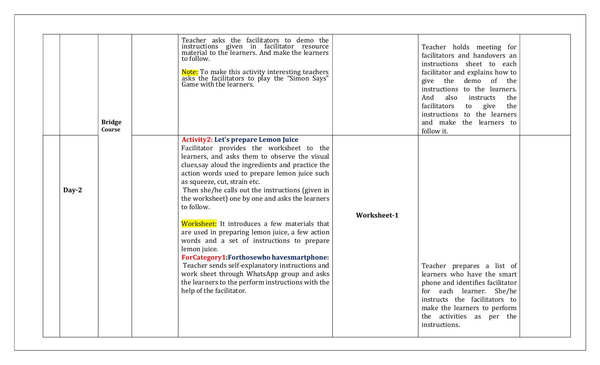|       | <b>Bridge</b><br>Course | Teacher asks the facilitators to demo the<br>instructions given in facilitator resource<br>material to the learners. And make the learners<br>to follow.<br>Note: To make this activity interesting teachers<br>asks the facilitators to play the "Simon Says"<br>Game with the learners.                                                                                                                                                                                                                                                                                                                                                                                                                                                                                                                   |                    | Teacher holds meeting for<br>facilitators and handovers an<br>instructions sheet to each<br>facilitator and explains how to<br>give the demo of the<br>instructions to the learners.<br>And<br>also<br>the<br>instructs<br>facilitators<br>the<br>to give<br>instructions to the learners<br>and make the learners to<br>follow it. |  |
|-------|-------------------------|-------------------------------------------------------------------------------------------------------------------------------------------------------------------------------------------------------------------------------------------------------------------------------------------------------------------------------------------------------------------------------------------------------------------------------------------------------------------------------------------------------------------------------------------------------------------------------------------------------------------------------------------------------------------------------------------------------------------------------------------------------------------------------------------------------------|--------------------|-------------------------------------------------------------------------------------------------------------------------------------------------------------------------------------------------------------------------------------------------------------------------------------------------------------------------------------|--|
| Day-2 |                         | <b>Activity2: Let's prepare Lemon Juice</b><br>Facilitator provides the worksheet to the<br>learners, and asks them to observe the visual<br>clues, say aloud the ingredients and practice the<br>action words used to prepare lemon juice such<br>as squeeze, cut, strain etc.<br>Then she/he calls out the instructions (given in<br>the worksheet) one by one and asks the learners<br>to follow.<br>Worksheet: It introduces a few materials that<br>are used in preparing lemon juice, a few action<br>words and a set of instructions to prepare<br>lemon juice.<br><b>ForCategory1:Forthosewho havesmartphone:</b><br>Teacher sends self-explanatory instructions and<br>work sheet through WhatsApp group and asks<br>the learners to the perform instructions with the<br>help of the facilitator. | <b>Worksheet-1</b> | Teacher prepares a list of<br>learners who have the smart<br>phone and identifies facilitator<br>for each learner. She/he<br>instructs the facilitators to<br>make the learners to perform<br>the activities as per the<br>instructions.                                                                                            |  |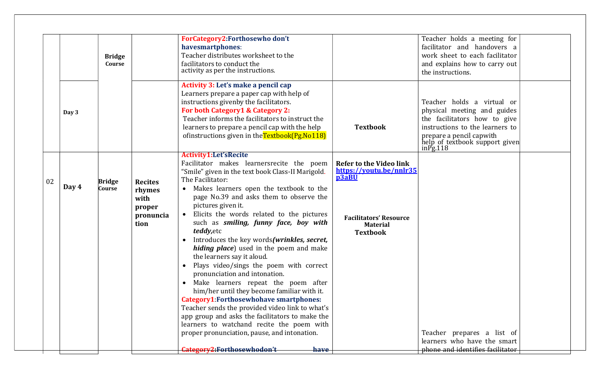|    |       | <b>Bridge</b><br>Course        |                                                                 | ForCategory2:Forthosewho don't<br>havesmartphones:<br>Teacher distributes worksheet to the<br>facilitators to conduct the<br>activity as per the instructions.                                                                                                                                                                                                                                                                                                                                                                                                                                                                                                                                                                                                                                                                                                                                                                                                |                                                                                                                                           | Teacher holds a meeting for<br>facilitator and handovers a<br>work sheet to each facilitator<br>and explains how to carry out<br>the instructions.                                                        |  |
|----|-------|--------------------------------|-----------------------------------------------------------------|---------------------------------------------------------------------------------------------------------------------------------------------------------------------------------------------------------------------------------------------------------------------------------------------------------------------------------------------------------------------------------------------------------------------------------------------------------------------------------------------------------------------------------------------------------------------------------------------------------------------------------------------------------------------------------------------------------------------------------------------------------------------------------------------------------------------------------------------------------------------------------------------------------------------------------------------------------------|-------------------------------------------------------------------------------------------------------------------------------------------|-----------------------------------------------------------------------------------------------------------------------------------------------------------------------------------------------------------|--|
|    | Day 3 |                                |                                                                 | Activity 3: Let's make a pencil cap<br>Learners prepare a paper cap with help of<br>instructions givenby the facilitators.<br>For both Category1 & Category 2:<br>Teacher informs the facilitators to instruct the<br>learners to prepare a pencil cap with the help<br>of instructions given in the Textbook (Pg. No 118)                                                                                                                                                                                                                                                                                                                                                                                                                                                                                                                                                                                                                                    | <b>Textbook</b>                                                                                                                           | Teacher holds a virtual or<br>physical meeting and guides<br>the facilitators how to give<br>instructions to the learners to<br>prepare a pencil capwith<br>help of textbook support given<br>$in$ Pg.118 |  |
| 02 | Day 4 | <b>Bridge</b><br><b>Course</b> | <b>Recites</b><br>rhymes<br>with<br>proper<br>pronuncia<br>tion | <b>Activity1:Let'sRecite</b><br>Facilitator makes learnersrecite the poem<br>"Smile" given in the text book Class-II Marigold.<br>The Facilitator:<br>Makes learners open the textbook to the<br>page No.39 and asks them to observe the<br>pictures given it.<br>Elicits the words related to the pictures<br>$\bullet$<br>such as smiling, funny face, boy with<br><i>teddy, etc</i><br>Introduces the key words(wrinkles, secret,<br>$\bullet$<br>hiding place) used in the poem and make<br>the learners say it aloud.<br>Plays video/sings the poem with correct<br>$\bullet$<br>pronunciation and intonation.<br>Make learners repeat the poem after<br>him/her until they become familiar with it.<br><b>Category1:Forthosewhohave smartphones:</b><br>Teacher sends the provided video link to what's<br>app group and asks the facilitators to make the<br>learners to watchand recite the poem with<br>proper pronunciation, pause, and intonation. | <b>Refer to the Video link</b><br>https://youtu.be/nnlr35<br>p3aBU<br><b>Facilitators' Resource</b><br><b>Material</b><br><b>Textbook</b> | Teacher prepares a list of<br>learners who have the smart                                                                                                                                                 |  |
|    |       |                                |                                                                 | Category2:Forthosewhodon't<br>have                                                                                                                                                                                                                                                                                                                                                                                                                                                                                                                                                                                                                                                                                                                                                                                                                                                                                                                            |                                                                                                                                           | phone and identifies facilitator                                                                                                                                                                          |  |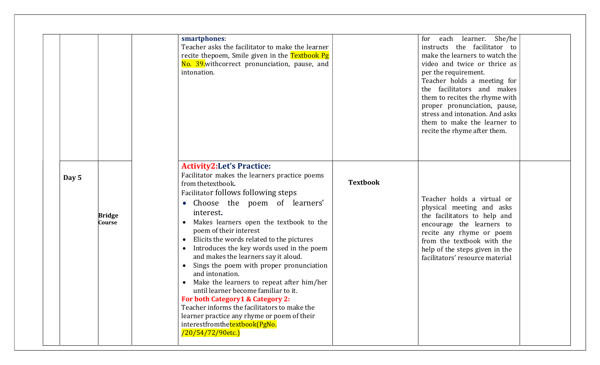|                                  | smartphones:<br>Teacher asks the facilitator to make the learner<br>recite thepoem, Smile given in the Textbook Pg<br>No. 39. withcorrect pronunciation, pause, and<br>intonation.                                                                                                                                                                                                                                                                                                                                                                                                                                                                                                                                                                                             | learner. She/he<br>each<br>for<br>instructs the facilitator to<br>make the learners to watch the<br>video and twice or thrice as<br>per the requirement.<br>Teacher holds a meeting for<br>the facilitators and makes<br>them to recites the rhyme with<br>proper pronunciation, pause,<br>stress and intonation. And asks<br>them to make the learner to<br>recite the rhyme after them. |
|----------------------------------|--------------------------------------------------------------------------------------------------------------------------------------------------------------------------------------------------------------------------------------------------------------------------------------------------------------------------------------------------------------------------------------------------------------------------------------------------------------------------------------------------------------------------------------------------------------------------------------------------------------------------------------------------------------------------------------------------------------------------------------------------------------------------------|-------------------------------------------------------------------------------------------------------------------------------------------------------------------------------------------------------------------------------------------------------------------------------------------------------------------------------------------------------------------------------------------|
| Day 5<br><b>Bridge</b><br>Course | <b>Activity2:Let's Practice:</b><br>Facilitator makes the learners practice poems<br><b>Textbook</b><br>from thetextbook.<br>Facilitator follows following steps<br>Choose the poem of learners'<br>interest.<br>Makes learners open the textbook to the<br>poem of their interest<br>Elicits the words related to the pictures<br>$\bullet$<br>Introduces the key words used in the poem<br>and makes the learners say it aloud.<br>Sings the poem with proper pronunciation<br>and intonation.<br>Make the learners to repeat after him/her<br>until learner become familiar to it.<br>For both Category1 & Category 2:<br>Teacher informs the facilitators to make the<br>learner practice any rhyme or poem of their<br>interestfromthetextbook(PgNo.<br>/20/54/72/90etc.) | Teacher holds a virtual or<br>physical meeting and asks<br>the facilitators to help and<br>encourage the learners to<br>recite any rhyme or poem<br>from the textbook with the<br>help of the steps given in the<br>facilitators' resource material                                                                                                                                       |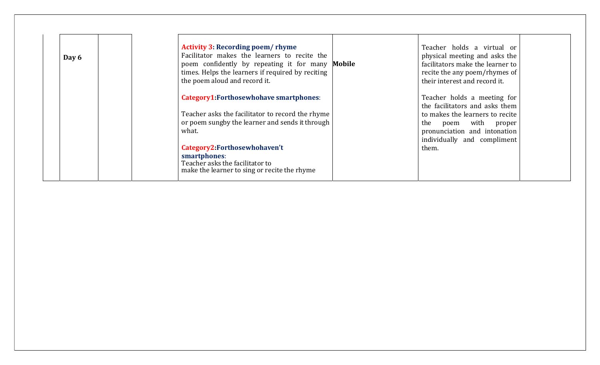| Day 6 | <b>Activity 3: Recording poem/rhyme</b><br>Facilitator makes the learners to recite the<br>poem confidently by repeating it for many <b>Mobile</b><br>times. Helps the learners if required by reciting<br>the poem aloud and record it. | Teacher holds a virtual or<br>physical meeting and asks the<br>facilitators make the learner to<br>recite the any poem/rhymes of<br>their interest and record it.                       |  |
|-------|------------------------------------------------------------------------------------------------------------------------------------------------------------------------------------------------------------------------------------------|-----------------------------------------------------------------------------------------------------------------------------------------------------------------------------------------|--|
|       | <b>Category1:Forthosewhohave smartphones:</b><br>Teacher asks the facilitator to record the rhyme<br>or poem sungby the learner and sends it through<br>what.                                                                            | Teacher holds a meeting for<br>the facilitators and asks them<br>to makes the learners to recite<br>the poem with proper<br>pronunciation and intonation<br>individually and compliment |  |
|       | Category2:Forthosewhohaven't<br>smartphones:<br>Teacher asks the facilitator to<br>make the learner to sing or recite the rhyme                                                                                                          | them.                                                                                                                                                                                   |  |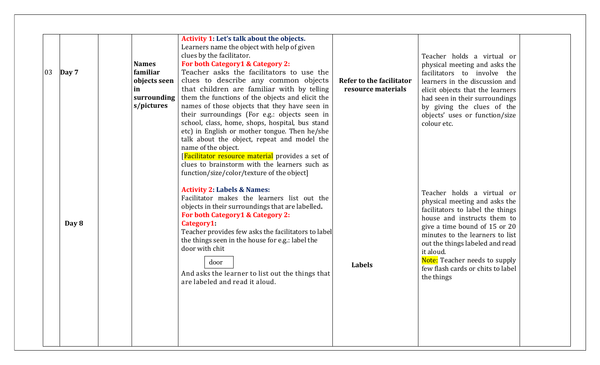| 03 | Day 7 | <b>Names</b><br>familiar<br>objects seen<br>in<br>surrounding<br>s/pictures | Activity 1: Let's talk about the objects.<br>Learners name the object with help of given<br>clues by the facilitator.<br>For both Category 1 & Category 2:<br>Teacher asks the facilitators to use the<br>clues to describe any common objects<br>that children are familiar with by telling<br>them the functions of the objects and elicit the<br>names of those objects that they have seen in<br>their surroundings (For e.g.: objects seen in<br>school, class, home, shops, hospital, bus stand<br>etc) in English or mother tongue. Then he/she<br>talk about the object, repeat and model the<br>name of the object.<br>[Facilitator resource material provides a set of<br>clues to brainstorm with the learners such as<br>function/size/color/texture of the object] | Refer to the facilitator<br>resource materials | Teacher holds a virtual or<br>physical meeting and asks the<br>facilitators to involve the<br>learners in the discussion and<br>elicit objects that the learners<br>had seen in their surroundings<br>by giving the clues of the<br>objects' uses or function/size<br>colour etc.                                                      |  |
|----|-------|-----------------------------------------------------------------------------|---------------------------------------------------------------------------------------------------------------------------------------------------------------------------------------------------------------------------------------------------------------------------------------------------------------------------------------------------------------------------------------------------------------------------------------------------------------------------------------------------------------------------------------------------------------------------------------------------------------------------------------------------------------------------------------------------------------------------------------------------------------------------------|------------------------------------------------|----------------------------------------------------------------------------------------------------------------------------------------------------------------------------------------------------------------------------------------------------------------------------------------------------------------------------------------|--|
|    | Day 8 |                                                                             | <b>Activity 2: Labels &amp; Names:</b><br>Facilitator makes the learners list out the<br>objects in their surroundings that are labelled.<br>For both Category1 & Category 2:<br>Category1<br>Teacher provides few asks the facilitators to label<br>the things seen in the house for e.g.: label the<br>door with chit<br>door<br>And asks the learner to list out the things that<br>are labeled and read it aloud.                                                                                                                                                                                                                                                                                                                                                           | Labels                                         | Teacher holds a virtual or<br>physical meeting and asks the<br>facilitators to label the things<br>house and instructs them to<br>give a time bound of 15 or 20<br>minutes to the learners to list<br>out the things labeled and read<br>it aloud.<br>Note: Teacher needs to supply<br>few flash cards or chits to label<br>the things |  |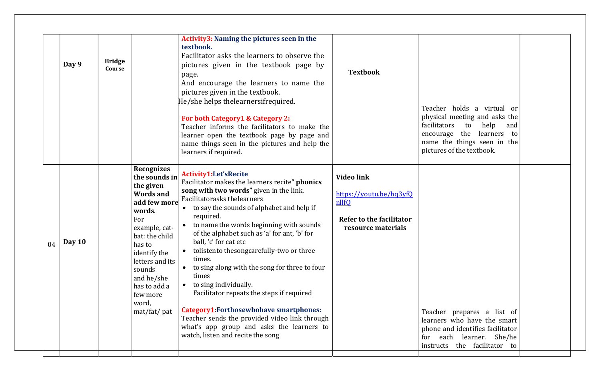|    | Day 9  | <b>Bridge</b><br>Course |                                                                                                                                                                                                                                                                   | Activity3: Naming the pictures seen in the<br>textbook.<br>Facilitator asks the learners to observe the<br>pictures given in the textbook page by<br>page.<br>And encourage the learners to name the<br>pictures given in the textbook.<br>He/she helps thelearnersifrequired.<br>For both Category1 & Category 2:<br>Teacher informs the facilitators to make the<br>learner open the textbook page by page and<br>name things seen in the pictures and help the<br>learners if required.                                                                                                                                                                                                                    | <b>Textbook</b>                                                                                                | Teacher holds a virtual or<br>physical meeting and asks the<br>facilitators<br>to<br>help and<br>encourage the learners to<br>name the things seen in the<br>pictures of the textbook. |
|----|--------|-------------------------|-------------------------------------------------------------------------------------------------------------------------------------------------------------------------------------------------------------------------------------------------------------------|---------------------------------------------------------------------------------------------------------------------------------------------------------------------------------------------------------------------------------------------------------------------------------------------------------------------------------------------------------------------------------------------------------------------------------------------------------------------------------------------------------------------------------------------------------------------------------------------------------------------------------------------------------------------------------------------------------------|----------------------------------------------------------------------------------------------------------------|----------------------------------------------------------------------------------------------------------------------------------------------------------------------------------------|
| 04 | Day 10 |                         | <b>Recognizes</b><br>the sounds in<br>the given<br><b>Words and</b><br>add few more<br>words.<br>For<br>example, cat-<br>bat: the child<br>has to<br>identify the<br>letters and its<br>sounds<br>and he/she<br>has to add a<br>few more<br>word,<br>mat/fat/ pat | Activity1:Let'sRecite<br>Facilitator makes the learners recite" phonics<br>song with two words" given in the link.<br>Facilitatorasks thelearners<br>• to say the sounds of alphabet and help if<br>required.<br>to name the words beginning with sounds<br>of the alphabet such as 'a' for ant, 'b' for<br>ball, 'c' for cat etc<br>tolistento thesongcarefully-two or three<br>times.<br>to sing along with the song for three to four<br>times<br>• to sing individually.<br>Facilitator repeats the steps if required<br><b>Category1:Forthosewhohave smartphones:</b><br>Teacher sends the provided video link through<br>what's app group and asks the learners to<br>watch, listen and recite the song | <b>Video link</b><br>https://youtu.be/hq3yfQ<br>nllfQ<br><b>Refer to the facilitator</b><br>resource materials | Teacher prepares a list of<br>learners who have the smart<br>phone and identifies facilitator<br>for each learner. She/he<br>instructs the facilitator to                              |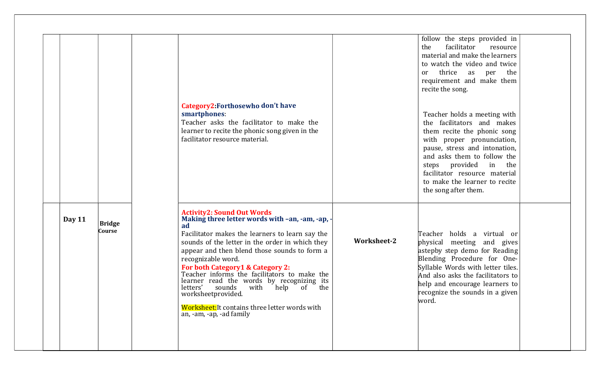|        |                         |                                                                                                                                                                                                                                                                                                                                                                                                                                                                                                                                                       |                    | follow the steps provided in<br>facilitator<br>the<br>resource<br>material and make the learners<br>to watch the video and twice<br>thrice as per<br>the<br><sub>or</sub><br>requirement and make them<br>recite the song.                                                                                    |  |
|--------|-------------------------|-------------------------------------------------------------------------------------------------------------------------------------------------------------------------------------------------------------------------------------------------------------------------------------------------------------------------------------------------------------------------------------------------------------------------------------------------------------------------------------------------------------------------------------------------------|--------------------|---------------------------------------------------------------------------------------------------------------------------------------------------------------------------------------------------------------------------------------------------------------------------------------------------------------|--|
|        |                         | Category2: Forthosewho don't have<br>smartphones:<br>Teacher asks the facilitator to make the<br>learner to recite the phonic song given in the<br>facilitator resource material.                                                                                                                                                                                                                                                                                                                                                                     |                    | Teacher holds a meeting with<br>the facilitators and makes<br>them recite the phonic song<br>with proper pronunciation,<br>pause, stress and intonation,<br>and asks them to follow the<br>steps provided in<br>the<br>facilitator resource material<br>to make the learner to recite<br>the song after them. |  |
| Day 11 | <b>Bridge</b><br>Course | <b>Activity2: Sound Out Words</b><br>Making three letter words with -an, -am, -ap, -<br>ad<br>Facilitator makes the learners to learn say the<br>sounds of the letter in the order in which they<br>appear and then blend those sounds to form a<br>recognizable word.<br>For both Category1 & Category 2:<br>Teacher informs the facilitators to make the<br>learner read the words by recognizing its<br>letters'<br>sounds<br>with help of the<br>worksheetprovided.<br>Worksheet: It contains three letter words with<br>an, -am, -ap, -ad family | <b>Worksheet-2</b> | Teacher holds a virtual or<br>physical meeting and gives<br>astepby step demo for Reading<br>Blending Procedure for One-<br>Syllable Words with letter tiles.<br>And also asks the facilitators to<br>help and encourage learners to<br>recognize the sounds in a given<br>word.                              |  |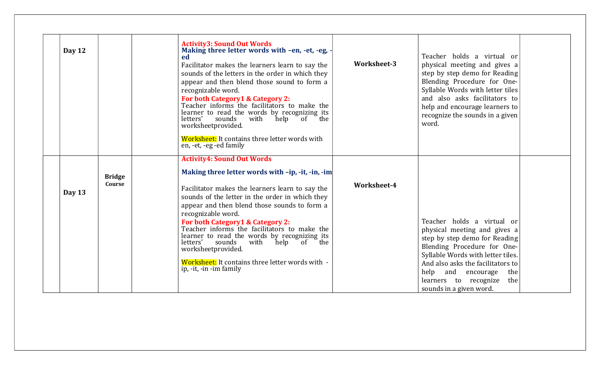| Day 12 |                         | <b>Activity3: Sound Out Words</b><br>Making three letter words with -en, -et, -eg, -<br>ed<br>Facilitator makes the learners learn to say the<br>sounds of the letters in the order in which they<br>appear and then blend those sound to form a<br>recognizable word.<br>For both Category1 & Category 2:<br>Teacher informs the facilitators to make the<br>learner to read the words by recognizing its<br>letters'<br>sounds<br>$\epsilon$ the<br>with<br>help<br>of<br>worksheetprovided.<br>Worksheet: It contains three letter words with<br>en, -et, -eg -ed family | Worksheet-3 | Teacher holds a virtual or<br>physical meeting and gives a<br>step by step demo for Reading<br>Blending Procedure for One-<br>Syllable Words with letter tiles<br>and also asks facilitators to<br>help and encourage learners to<br>recognize the sounds in a given<br>word.                |
|--------|-------------------------|-----------------------------------------------------------------------------------------------------------------------------------------------------------------------------------------------------------------------------------------------------------------------------------------------------------------------------------------------------------------------------------------------------------------------------------------------------------------------------------------------------------------------------------------------------------------------------|-------------|----------------------------------------------------------------------------------------------------------------------------------------------------------------------------------------------------------------------------------------------------------------------------------------------|
| Day 13 | <b>Bridge</b><br>Course | <b>Activity4: Sound Out Words</b><br>Making three letter words with -ip, -it, -in, -im<br>Facilitator makes the learners learn to say the<br>sounds of the letter in the order in which they<br>appear and then blend those sounds to form a<br>recognizable word.<br>For both Category1 & Category 2:<br>Teacher informs the facilitators to make the<br>learner to read the words by recognizing its<br>letters'<br>sounds<br>with<br>of the<br>help<br>worksheetprovided.<br>Worksheet: It contains three letter words with -<br>ip, -it, -in -im family                 | Worksheet-4 | Teacher holds a virtual or<br>physical meeting and gives a<br>step by step demo for Reading<br>Blending Procedure for One-<br>Syllable Words with letter tiles.<br>And also asks the facilitators to<br>help and encourage<br>the<br>learners to recognize<br>the<br>sounds in a given word. |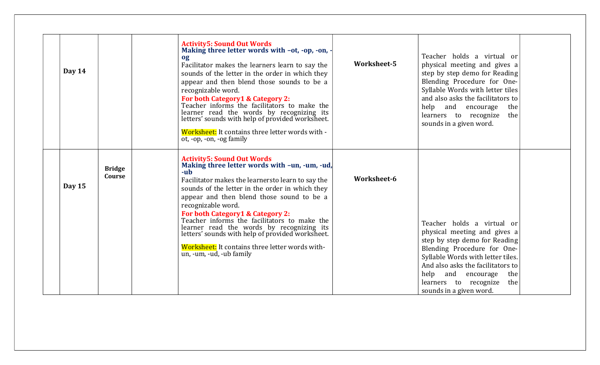| Day $14$                          | <b>Activity5: Sound Out Words</b><br>Making three letter words with -ot, -op, -on, -<br>og<br>Facilitator makes the learners learn to say the<br>sounds of the letter in the order in which they<br>appear and then blend those sounds to be a<br>recognizable word.<br>For both Category1 & Category 2:<br>Teacher informs the facilitators to make the<br>learner read the words by recognizing its<br>letters' sounds with help of provided worksheet.<br>Worksheet: It contains three letter words with -<br>ot, -op, -on, -og family | Worksheet-5 | Teacher holds a virtual or<br>physical meeting and gives a<br>step by step demo for Reading<br>Blending Procedure for One-<br>Syllable Words with letter tiles<br>and also asks the facilitators to<br>help and encourage<br>the<br>learners to recognize<br>the<br>sounds in a given word.  |
|-----------------------------------|-------------------------------------------------------------------------------------------------------------------------------------------------------------------------------------------------------------------------------------------------------------------------------------------------------------------------------------------------------------------------------------------------------------------------------------------------------------------------------------------------------------------------------------------|-------------|----------------------------------------------------------------------------------------------------------------------------------------------------------------------------------------------------------------------------------------------------------------------------------------------|
| <b>Bridge</b><br>Course<br>Day 15 | <b>Activity5: Sound Out Words</b><br>Making three letter words with -un, -um, -ud,<br>-ub<br>Facilitator makes the learnersto learn to say the<br>sounds of the letter in the order in which they<br>appear and then blend those sound to be a<br>recognizable word.<br>For both Category1 & Category 2:<br>Teacher informs the facilitators to make the<br>learner read the words by recognizing its<br>letters' sounds with help of provided worksheet.<br>Worksheet: It contains three letter words with-<br>un, -um, -ud, -ub family  | Worksheet-6 | Teacher holds a virtual or<br>physical meeting and gives a<br>step by step demo for Reading<br>Blending Procedure for One-<br>Syllable Words with letter tiles.<br>And also asks the facilitators to<br>help and encourage<br>the<br>the<br>learners to recognize<br>sounds in a given word. |